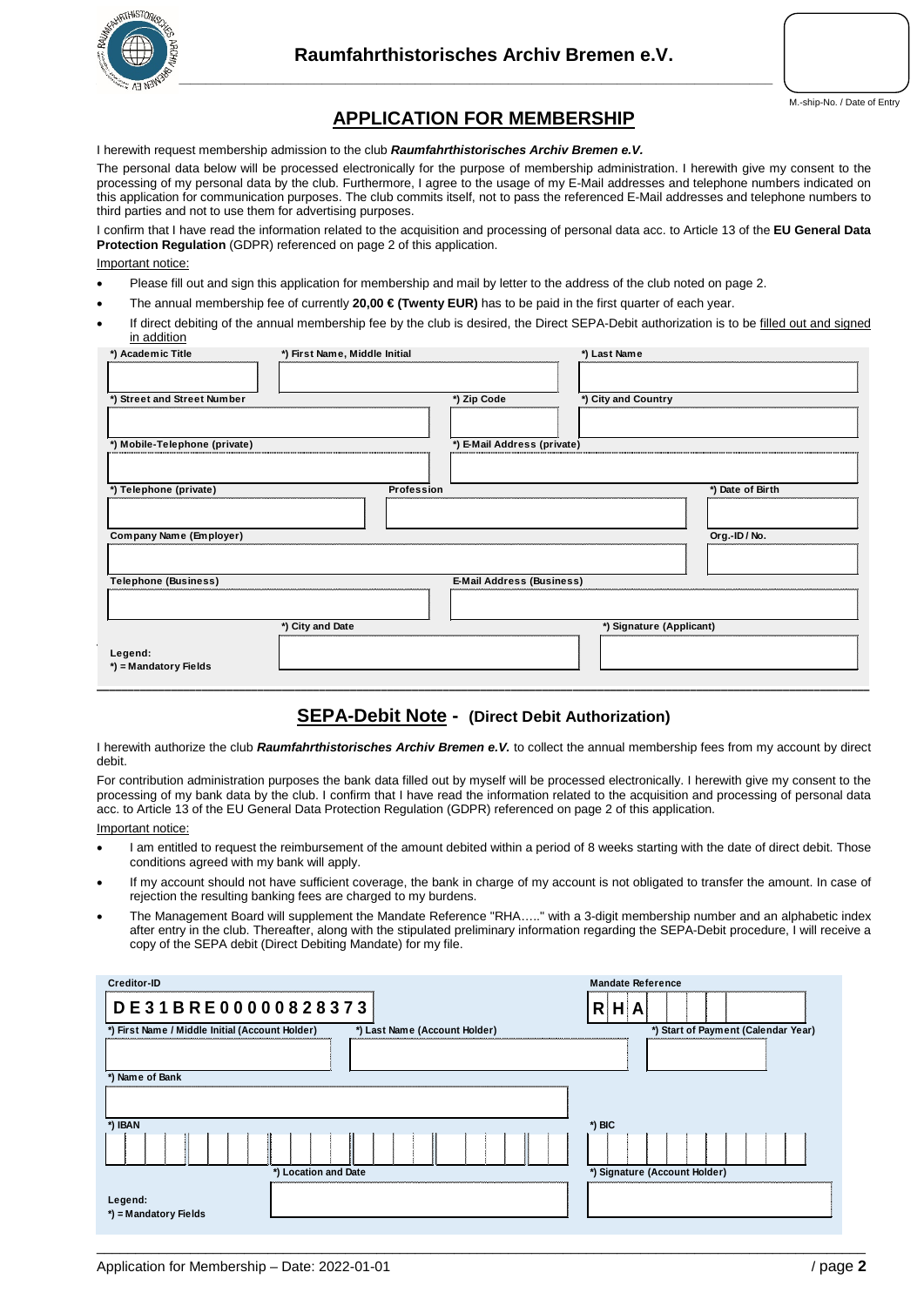

# **APPLICATION FOR MEMBERSHIP**

I herewith request membership admission to the club *Raumfahrthistorisches Archiv Bremen e.V.*

The personal data below will be processed electronically for the purpose of membership administration. I herewith give my consent to the processing of my personal data by the club. Furthermore, I agree to the usage of my E-Mail addresses and telephone numbers indicated on this application for communication purposes. The club commits itself, not to pass the referenced E-Mail addresses and telephone numbers to third parties and not to use them for advertising purposes.

I confirm that I have read the information related to the acquisition and processing of personal data acc. to Article 13 of the **EU General Data Protection Regulation** (GDPR) referenced on page 2 of this application.

Important notice:

- Please fill out and sign this application for membership and mail by letter to the address of the club noted on page 2.
- The annual membership fee of currently **20,00 € (Twenty EUR)** has to be paid in the first quarter of each year.
- If direct debiting of the annual membership fee by the club is desired, the Direct SEPA-Debit authorization is to be filled out and signed in addition

| *) Academic Title<br>*) First Name, Middle Initial |                  |                                  | *) Last Name             |                  |
|----------------------------------------------------|------------------|----------------------------------|--------------------------|------------------|
| *) Street and Street Number                        |                  | *) Zip Code                      | *) City and Country      |                  |
| *) Mobile-Telephone (private)                      |                  | *) E-Mail Address (private)      |                          |                  |
| *) Telephone (private)                             | Profession       |                                  |                          | *) Date of Birth |
| Company Name (Employer)                            |                  |                                  |                          | Org.-ID/No.      |
| <b>Telephone (Business)</b>                        |                  | <b>E-Mail Address (Business)</b> |                          |                  |
| Legend:<br>*) = Mandatory Fields                   | *) City and Date |                                  | *) Signature (Applicant) |                  |
|                                                    |                  |                                  |                          |                  |

### **SEPA-Debit Note - (Direct Debit Authorization)**

I herewith authorize the club *Raumfahrthistorisches Archiv Bremen e.V.* to collect the annual membership fees from my account by direct debit.

For contribution administration purposes the bank data filled out by myself will be processed electronically. I herewith give my consent to the processing of my bank data by the club. I confirm that I have read the information related to the acquisition and processing of personal data acc. to Article 13 of the EU General Data Protection Regulation (GDPR) referenced on page 2 of this application.

Important notice:

- I am entitled to request the reimbursement of the amount debited within a period of 8 weeks starting with the date of direct debit. Those conditions agreed with my bank will apply.
- If my account should not have sufficient coverage, the bank in charge of my account is not obligated to transfer the amount. In case of rejection the resulting banking fees are charged to my burdens.
- The Management Board will supplement the Mandate Reference "RHA….." with a 3-digit membership number and an alphabetic index after entry in the club. Thereafter, along with the stipulated preliminary information regarding the SEPA-Debit procedure, I will receive a copy of the SEPA debit (Direct Debiting Mandate) for my file.

| Creditor-ID<br>DE31BRE00000828373               |                               | <b>Mandate Reference</b><br>$R$ $H$ $A$ |
|-------------------------------------------------|-------------------------------|-----------------------------------------|
| *) First Name / Middle Initial (Account Holder) | *) Last Name (Account Holder) | *) Start of Payment (Calendar Year)     |
|                                                 |                               |                                         |
| *) Name of Bank                                 |                               |                                         |
| *) IBAN                                         |                               | $*$ ) BIC                               |
|                                                 |                               |                                         |
| *) Location and Date                            |                               | *) Signature (Account Holder)           |
| Legend:<br>*) = Mandatory Fields                |                               |                                         |

 $\_$  ,  $\_$  ,  $\_$  ,  $\_$  ,  $\_$  ,  $\_$  ,  $\_$  ,  $\_$  ,  $\_$  ,  $\_$  ,  $\_$  ,  $\_$  ,  $\_$  ,  $\_$  ,  $\_$  ,  $\_$  ,  $\_$  ,  $\_$  ,  $\_$  ,  $\_$  ,  $\_$  ,  $\_$  ,  $\_$  ,  $\_$  ,  $\_$  ,  $\_$  ,  $\_$  ,  $\_$  ,  $\_$  ,  $\_$  ,  $\_$  ,  $\_$  ,  $\_$  ,  $\_$  ,  $\_$  ,  $\_$  ,  $\_$  ,